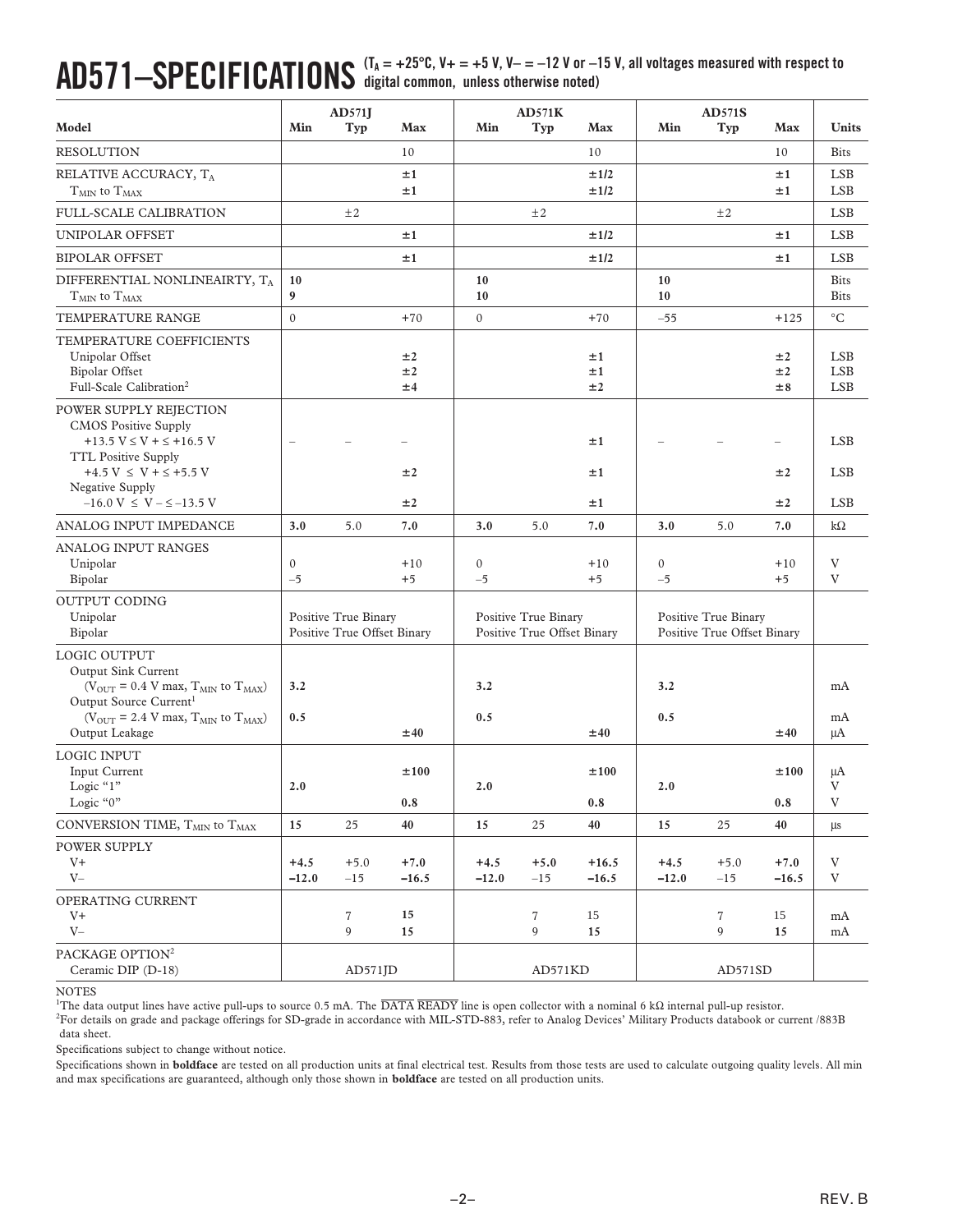## $\mathbf{A}\mathbf{D571} - \mathbf{S}\mathbf{PECIFICATIONS}$  (T<sub>A</sub> = +25°C, V+ = +5 V, V– = –12 V or –15 V, all voltages measured with respect to **digital common, unless otherwise noted)**

|                                                                                                                                                                                                                                                        | AD571J                                              |                     |                                                     | AD571K               |                                                     |                    | <b>AD571S</b>        |                 |                   |                                        |
|--------------------------------------------------------------------------------------------------------------------------------------------------------------------------------------------------------------------------------------------------------|-----------------------------------------------------|---------------------|-----------------------------------------------------|----------------------|-----------------------------------------------------|--------------------|----------------------|-----------------|-------------------|----------------------------------------|
| Model                                                                                                                                                                                                                                                  | Min                                                 | Typ                 | Max                                                 | Min                  | Typ                                                 | Max                | Min                  | Typ             | Max               | <b>Units</b>                           |
| <b>RESOLUTION</b>                                                                                                                                                                                                                                      |                                                     |                     | 10                                                  |                      |                                                     | 10                 |                      |                 | 10                | <b>Bits</b>                            |
| RELATIVE ACCURACY, TA                                                                                                                                                                                                                                  |                                                     |                     | ±1                                                  |                      |                                                     | ±1/2               |                      |                 | ±1                | <b>LSB</b>                             |
| $TMIN$ to $TMAX$                                                                                                                                                                                                                                       |                                                     |                     | ±1                                                  |                      |                                                     | ±1/2               |                      |                 | ±1                | <b>LSB</b>                             |
| FULL-SCALE CALIBRATION                                                                                                                                                                                                                                 |                                                     | ±2                  |                                                     |                      | ±2                                                  |                    |                      | ±2              |                   | <b>LSB</b>                             |
| UNIPOLAR OFFSET                                                                                                                                                                                                                                        |                                                     |                     | ±1                                                  |                      |                                                     | ±1/2               |                      |                 | ±1                | <b>LSB</b>                             |
| <b>BIPOLAR OFFSET</b>                                                                                                                                                                                                                                  |                                                     |                     | ±1                                                  |                      |                                                     | ±1/2               |                      |                 | ±1                | <b>LSB</b>                             |
| DIFFERENTIAL NONLINEAIRTY, $\mathrm{T_A}$                                                                                                                                                                                                              | 10                                                  |                     |                                                     | 10                   |                                                     |                    | 10                   |                 |                   | <b>Bits</b>                            |
| $T_{MIN}$ to $T_{MAX}$                                                                                                                                                                                                                                 | 9                                                   |                     |                                                     | 10                   |                                                     |                    | 10                   |                 |                   | <b>Bits</b>                            |
| TEMPERATURE RANGE                                                                                                                                                                                                                                      | $\mathbf{0}$                                        |                     | $+70$                                               | $\mathbf{0}$         |                                                     | $+70$              | $-55$                |                 | $+125$            | $^{\circ}{\rm C}$                      |
| TEMPERATURE COEFFICIENTS<br>Unipolar Offset<br><b>Bipolar Offset</b><br>Full-Scale Calibration <sup>2</sup>                                                                                                                                            |                                                     |                     | ±2<br>±2<br>±4                                      |                      |                                                     | ±1<br>±1<br>±2     |                      |                 | ±2<br>±2<br>±8    | <b>LSB</b><br><b>LSB</b><br><b>LSB</b> |
| POWER SUPPLY REJECTION<br><b>CMOS Positive Supply</b><br>$+13.5 V \le V + \le +16.5 V$<br><b>TTL Positive Supply</b><br>+4.5 V $\leq$ V + $\leq$ +5.5 V<br>Negative Supply                                                                             |                                                     |                     | ±2                                                  |                      |                                                     | ±1<br>±1           |                      |                 | ±2                | <b>LSB</b><br><b>LSB</b>               |
| $-16.0$ V $\leq$ V $ \leq$ $-13.5$ V                                                                                                                                                                                                                   |                                                     |                     | ±2                                                  |                      |                                                     | ±1                 |                      |                 | ±2                | <b>LSB</b>                             |
| ANALOG INPUT IMPEDANCE                                                                                                                                                                                                                                 | 3.0                                                 | 5.0                 | 7.0                                                 | 3.0                  | 5.0                                                 | 7.0                | 3.0                  | 5.0             | 7.0               | $k\Omega$                              |
| ANALOG INPUT RANGES<br>Unipolar<br>Bipolar                                                                                                                                                                                                             | $\mathbf{0}$<br>$-5$                                |                     | $+10$<br>$+5$                                       | $\mathbf{0}$<br>$-5$ |                                                     | $+10$<br>$+5$      | $\mathbf{0}$<br>$-5$ |                 | $+10$<br>$+5$     | V<br>V                                 |
| <b>OUTPUT CODING</b><br>Unipolar<br>Bipolar                                                                                                                                                                                                            | Positive True Binary<br>Positive True Offset Binary |                     | Positive True Binary<br>Positive True Offset Binary |                      | Positive True Binary<br>Positive True Offset Binary |                    |                      |                 |                   |                                        |
| LOGIC OUTPUT<br><b>Output Sink Current</b><br>( $V_{\text{OUT}}$ = 0.4 V max, $T_{\text{MIN}}$ to $T_{\text{MAX}}$ )<br>Output Source Current <sup>1</sup><br>( $V_{\text{OUT}}$ = 2.4 V max, $T_{\text{MIN}}$ to $T_{\text{MAX}}$ )<br>Output Leakage | 3.2<br>0.5                                          |                     | ±40                                                 | 3.2<br>0.5           |                                                     | ±40                | 3.2<br>0.5           |                 | ±40               | mA<br>mA<br>μA                         |
| <b>LOGIC INPUT</b><br>Input Current<br>Logic "1"<br>Logic " $0$ "                                                                                                                                                                                      | 2.0                                                 |                     | ±100<br>0.8                                         | 2.0                  |                                                     | ±100<br>0.8        | 2.0                  |                 | ±100<br>0.8       | μA<br>V<br>V                           |
| CONVERSION TIME, $T_{MIN}$ to $T_{MAX}$                                                                                                                                                                                                                | 15                                                  | 25                  | 40                                                  | 15                   | 25                                                  | 40                 | 15                   | 25              | 40                | $\mu s$                                |
| POWER SUPPLY<br>$V +$<br>$\rm V-$                                                                                                                                                                                                                      | $+4.5$<br>$-12.0$                                   | $+5.0$<br>$-15$     | $+7.0$<br>$-16.5$                                   | $+4.5$<br>$-12.0$    | $+5.0$<br>$-15$                                     | $+16.5$<br>$-16.5$ | $+4.5$<br>$-12.0$    | $+5.0$<br>$-15$ | $+7.0$<br>$-16.5$ | V<br>V                                 |
| OPERATING CURRENT<br>$V^+$<br>$V -$                                                                                                                                                                                                                    |                                                     | $\overline{7}$<br>9 | 15<br>15                                            |                      | 7<br>9                                              | 15<br>15           |                      | $\tau$<br>9     | 15<br>15          | mA<br>mA                               |
| PACKAGE OPTION <sup>2</sup><br>Ceramic DIP (D-18)                                                                                                                                                                                                      |                                                     | $AD571$ JD          |                                                     |                      | AD571KD                                             |                    |                      | AD571SD         |                   |                                        |

**NOTES** 

<sup>1</sup>The data output lines have active pull-ups to source 0.5 mA. The  $\overline{\text{DATA}$  READY line is open collector with a nominal 6 kΩ internal pull-up resistor.

2 For details on grade and package offerings for SD-grade in accordance with MIL-STD-883, refer to Analog Devices' Military Products databook or current /883B data sheet.

Specifications subject to change without notice.

Specifications shown in **boldface** are tested on all production units at final electrical test. Results from those tests are used to calculate outgoing quality levels. All min and max specifications are guaranteed, although only those shown in **boldface** are tested on all production units.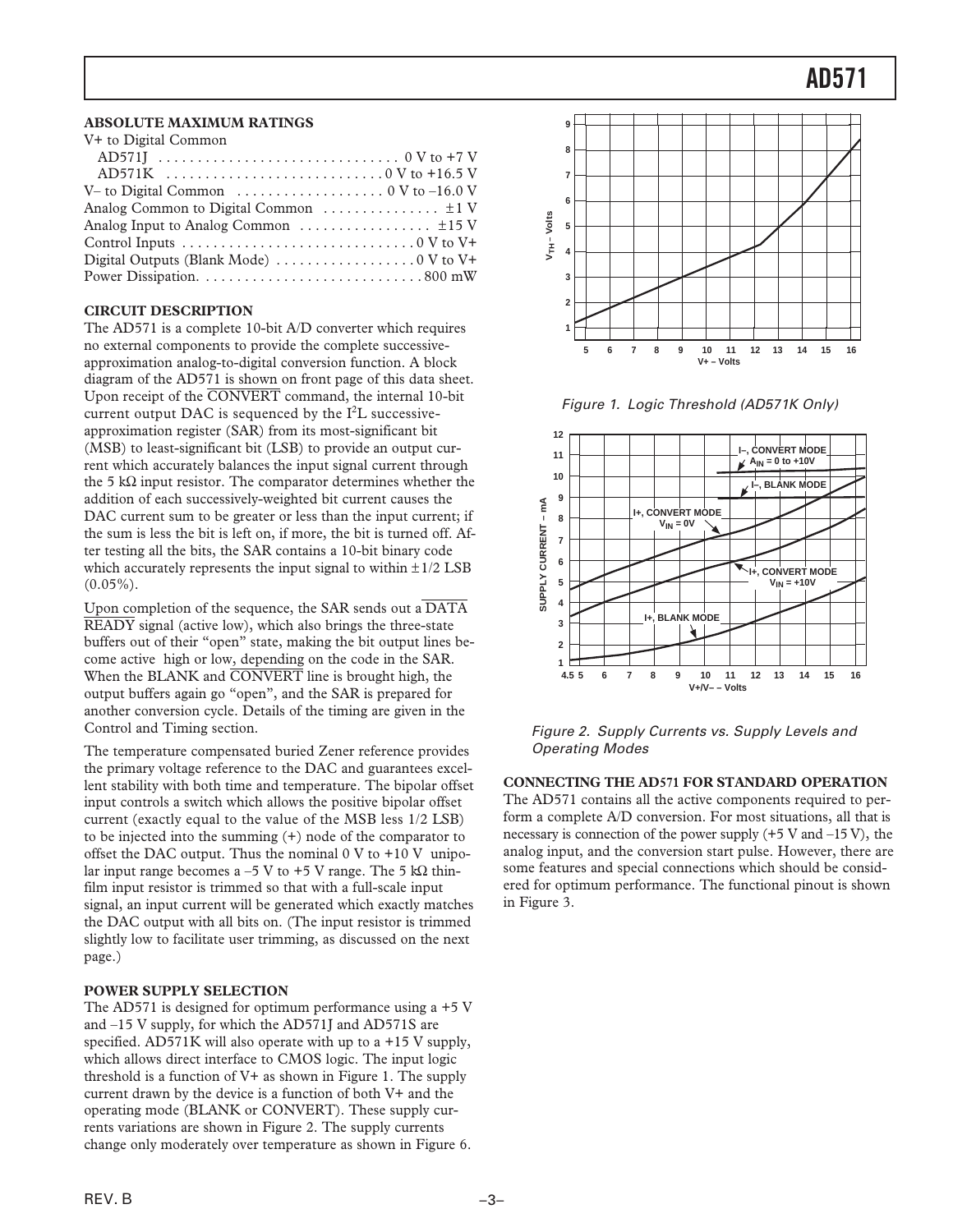## **ABSOLUTE MAXIMUM RATINGS**

| V+ to Digital Common                                                                  |
|---------------------------------------------------------------------------------------|
|                                                                                       |
| $AD571K$ 0 V to +16.5 V                                                               |
| V– to Digital Common $\dots \dots \dots \dots \dots \dots \dots \dots$ 0 V to -16.0 V |
|                                                                                       |
|                                                                                       |
|                                                                                       |
| Digital Outputs (Blank Mode) $\dots \dots \dots \dots \dots \dots \dots \dots$        |
|                                                                                       |

## **CIRCUIT DESCRIPTION**

The AD571 is a complete 10-bit A/D converter which requires no external components to provide the complete successiveapproximation analog-to-digital conversion function. A block diagram of the AD571 is shown on front page of this data sheet. Upon receipt of the CONVERT command, the internal 10-bit current output DAC is sequenced by the  $I<sup>2</sup>L$  successiveapproximation register (SAR) from its most-significant bit (MSB) to least-significant bit (LSB) to provide an output current which accurately balances the input signal current through the 5 kΩ input resistor. The comparator determines whether the addition of each successively-weighted bit current causes the DAC current sum to be greater or less than the input current; if the sum is less the bit is left on, if more, the bit is turned off. After testing all the bits, the SAR contains a 10-bit binary code which accurately represents the input signal to within  $\pm 1/2$  LSB  $(0.05\%)$ .

Upon completion of the sequence, the SAR sends out a  $\overline{DATA}$ READY signal (active low), which also brings the three-state buffers out of their "open" state, making the bit output lines become active high or low, depending on the code in the SAR. When the BLANK and CONVERT line is brought high, the output buffers again go "open", and the SAR is prepared for another conversion cycle. Details of the timing are given in the Control and Timing section.

The temperature compensated buried Zener reference provides the primary voltage reference to the DAC and guarantees excellent stability with both time and temperature. The bipolar offset input controls a switch which allows the positive bipolar offset current (exactly equal to the value of the MSB less 1/2 LSB) to be injected into the summing (+) node of the comparator to offset the DAC output. Thus the nominal  $0 \text{ V}$  to  $+10 \text{ V}$  unipolar input range becomes a –5 V to +5 V range. The 5 k $\Omega$  thinfilm input resistor is trimmed so that with a full-scale input signal, an input current will be generated which exactly matches the DAC output with all bits on. (The input resistor is trimmed slightly low to facilitate user trimming, as discussed on the next page.)

#### **POWER SUPPLY SELECTION**

The AD571 is designed for optimum performance using a +5 V and –15 V supply, for which the AD571J and AD571S are specified. AD571K will also operate with up to a +15 V supply, which allows direct interface to CMOS logic. The input logic threshold is a function of V+ as shown in Figure 1. The supply current drawn by the device is a function of both V+ and the operating mode (BLANK or CONVERT). These supply currents variations are shown in Figure 2. The supply currents change only moderately over temperature as shown in Figure 6.



Figure 1. Logic Threshold (AD571K Only)



Figure 2. Supply Currents vs. Supply Levels and Operating Modes

**CONNECTING THE AD571 FOR STANDARD OPERATION**

The AD571 contains all the active components required to perform a complete A/D conversion. For most situations, all that is necessary is connection of the power supply  $(+5 \text{ V and } -15 \text{ V})$ , the analog input, and the conversion start pulse. However, there are some features and special connections which should be considered for optimum performance. The functional pinout is shown in Figure 3.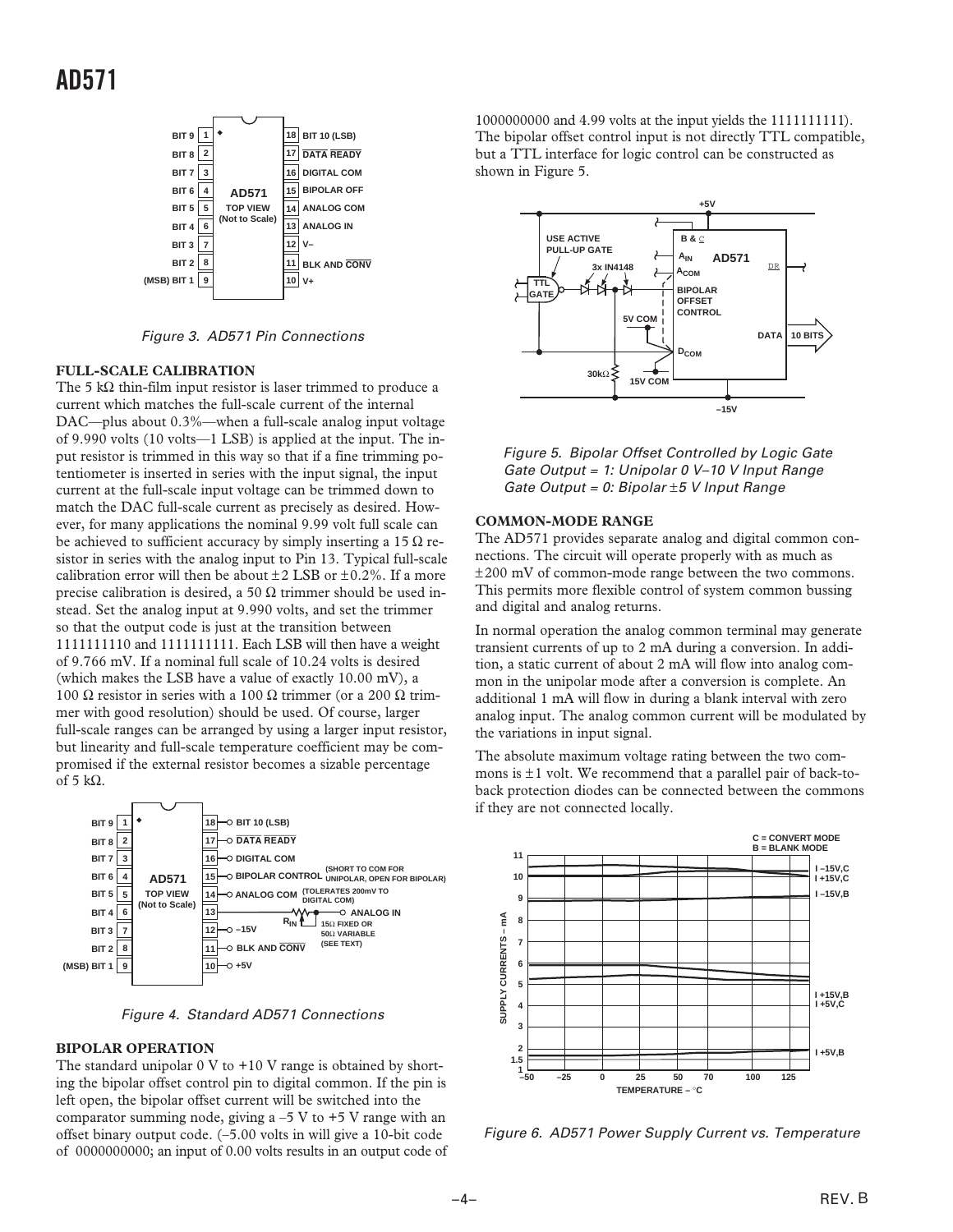

Figure 3. AD571 Pin Connections

## **FULL-SCALE CALIBRATION**

The 5 k $\Omega$  thin-film input resistor is laser trimmed to produce a current which matches the full-scale current of the internal DAC—plus about 0.3%—when a full-scale analog input voltage of 9.990 volts (10 volts—1 LSB) is applied at the input. The input resistor is trimmed in this way so that if a fine trimming potentiometer is inserted in series with the input signal, the input current at the full-scale input voltage can be trimmed down to match the DAC full-scale current as precisely as desired. However, for many applications the nominal 9.99 volt full scale can be achieved to sufficient accuracy by simply inserting a 15  $\Omega$  resistor in series with the analog input to Pin 13. Typical full-scale calibration error will then be about  $\pm 2$  LSB or  $\pm 0.2$ %. If a more precise calibration is desired, a 50  $\Omega$  trimmer should be used instead. Set the analog input at 9.990 volts, and set the trimmer so that the output code is just at the transition between 1111111110 and 1111111111. Each LSB will then have a weight of 9.766 mV. If a nominal full scale of 10.24 volts is desired (which makes the LSB have a value of exactly 10.00 mV), a 100 Ω resistor in series with a 100 Ω trimmer (or a 200 Ω trimmer with good resolution) should be used. Of course, larger full-scale ranges can be arranged by using a larger input resistor, but linearity and full-scale temperature coefficient may be compromised if the external resistor becomes a sizable percentage of 5 k $\Omega$ .



Figure 4. Standard AD571 Connections

#### **BIPOLAR OPERATION**

The standard unipolar  $0 \nabla$  to  $+10 \nabla$  range is obtained by shorting the bipolar offset control pin to digital common. If the pin is left open, the bipolar offset current will be switched into the comparator summing node, giving  $a -5$  V to  $+5$  V range with an offset binary output code. (–5.00 volts in will give a 10-bit code of 0000000000; an input of 0.00 volts results in an output code of

1000000000 and 4.99 volts at the input yields the 1111111111). The bipolar offset control input is not directly TTL compatible, but a TTL interface for logic control can be constructed as shown in Figure 5.



Figure 5. Bipolar Offset Controlled by Logic Gate Gate Output = 1: Unipolar 0 V–10 V Input Range Gate Output = 0: Bipolar  $\pm 5$  V Input Range

#### **COMMON-MODE RANGE**

The AD571 provides separate analog and digital common connections. The circuit will operate properly with as much as ±200 mV of common-mode range between the two commons. This permits more flexible control of system common bussing and digital and analog returns.

In normal operation the analog common terminal may generate transient currents of up to 2 mA during a conversion. In addition, a static current of about 2 mA will flow into analog common in the unipolar mode after a conversion is complete. An additional 1 mA will flow in during a blank interval with zero analog input. The analog common current will be modulated by the variations in input signal.

The absolute maximum voltage rating between the two commons is  $\pm 1$  volt. We recommend that a parallel pair of back-toback protection diodes can be connected between the commons if they are not connected locally.



Figure 6. AD571 Power Supply Current vs. Temperature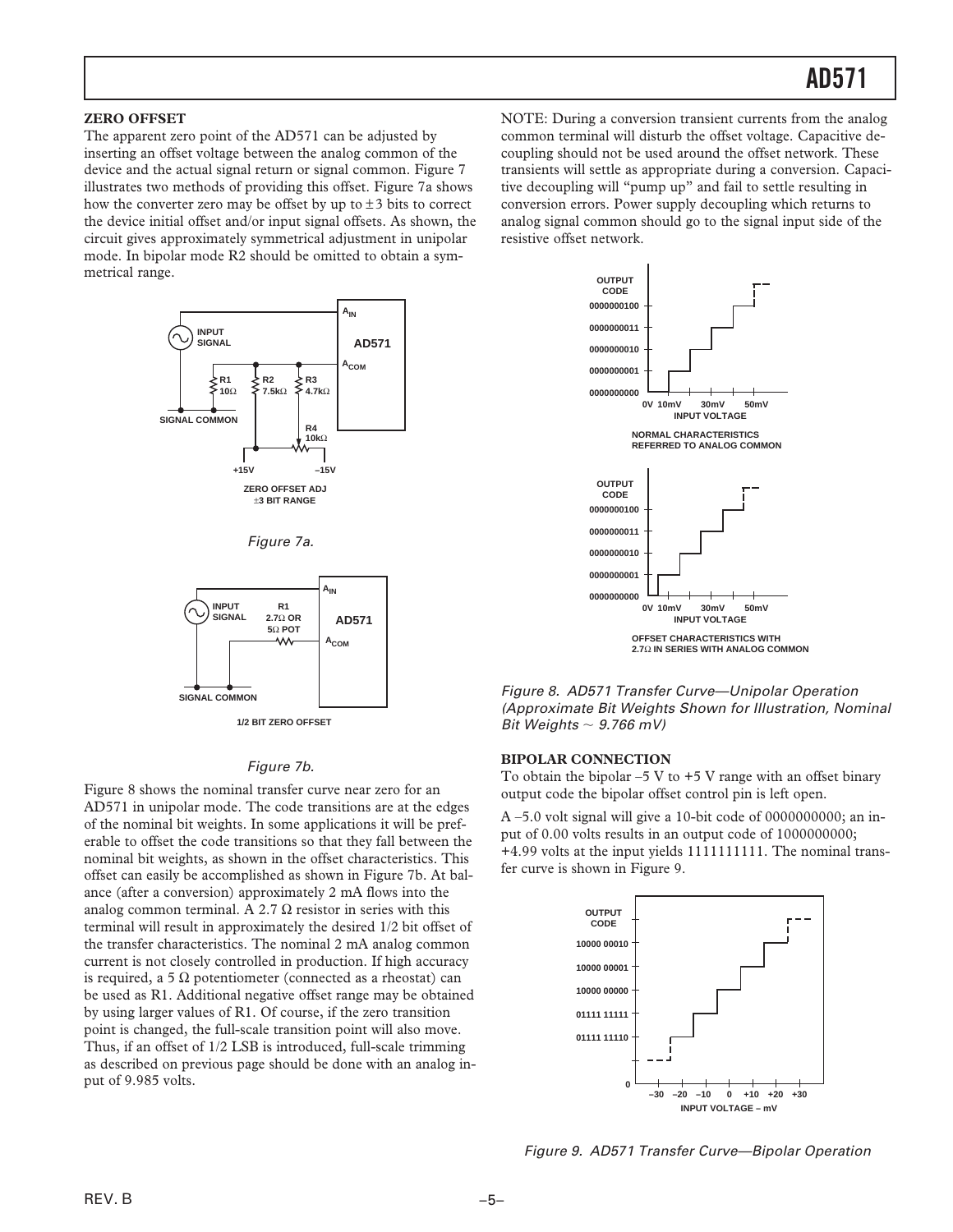#### **ZERO OFFSET**

The apparent zero point of the AD571 can be adjusted by inserting an offset voltage between the analog common of the device and the actual signal return or signal common. Figure 7 illustrates two methods of providing this offset. Figure 7a shows how the converter zero may be offset by up to  $\pm 3$  bits to correct the device initial offset and/or input signal offsets. As shown, the circuit gives approximately symmetrical adjustment in unipolar mode. In bipolar mode R2 should be omitted to obtain a symmetrical range.



Figure 7a.



**1/2 BIT ZERO OFFSET**

## Figure 7b.

Figure 8 shows the nominal transfer curve near zero for an AD571 in unipolar mode. The code transitions are at the edges of the nominal bit weights. In some applications it will be preferable to offset the code transitions so that they fall between the nominal bit weights, as shown in the offset characteristics. This offset can easily be accomplished as shown in Figure 7b. At balance (after a conversion) approximately 2 mA flows into the analog common terminal. A 2.7  $\Omega$  resistor in series with this terminal will result in approximately the desired 1/2 bit offset of the transfer characteristics. The nominal 2 mA analog common current is not closely controlled in production. If high accuracy is required, a 5 Ω potentiometer (connected as a rheostat) can be used as R1. Additional negative offset range may be obtained by using larger values of R1. Of course, if the zero transition point is changed, the full-scale transition point will also move. Thus, if an offset of 1/2 LSB is introduced, full-scale trimming as described on previous page should be done with an analog input of 9.985 volts.

NOTE: During a conversion transient currents from the analog common terminal will disturb the offset voltage. Capacitive decoupling should not be used around the offset network. These transients will settle as appropriate during a conversion. Capacitive decoupling will "pump up" and fail to settle resulting in conversion errors. Power supply decoupling which returns to analog signal common should go to the signal input side of the resistive offset network.



Figure 8. AD571 Transfer Curve—Unipolar Operation (Approximate Bit Weights Shown for Illustration, Nominal Bit Weights  $\sim$  9.766 mV)

#### **BIPOLAR CONNECTION**

To obtain the bipolar  $-5$  V to  $+5$  V range with an offset binary output code the bipolar offset control pin is left open.

 $A - 5.0$  volt signal will give a 10-bit code of 0000000000; an input of 0.00 volts results in an output code of 1000000000; +4.99 volts at the input yields 1111111111. The nominal transfer curve is shown in Figure 9.



Figure 9. AD571 Transfer Curve—Bipolar Operation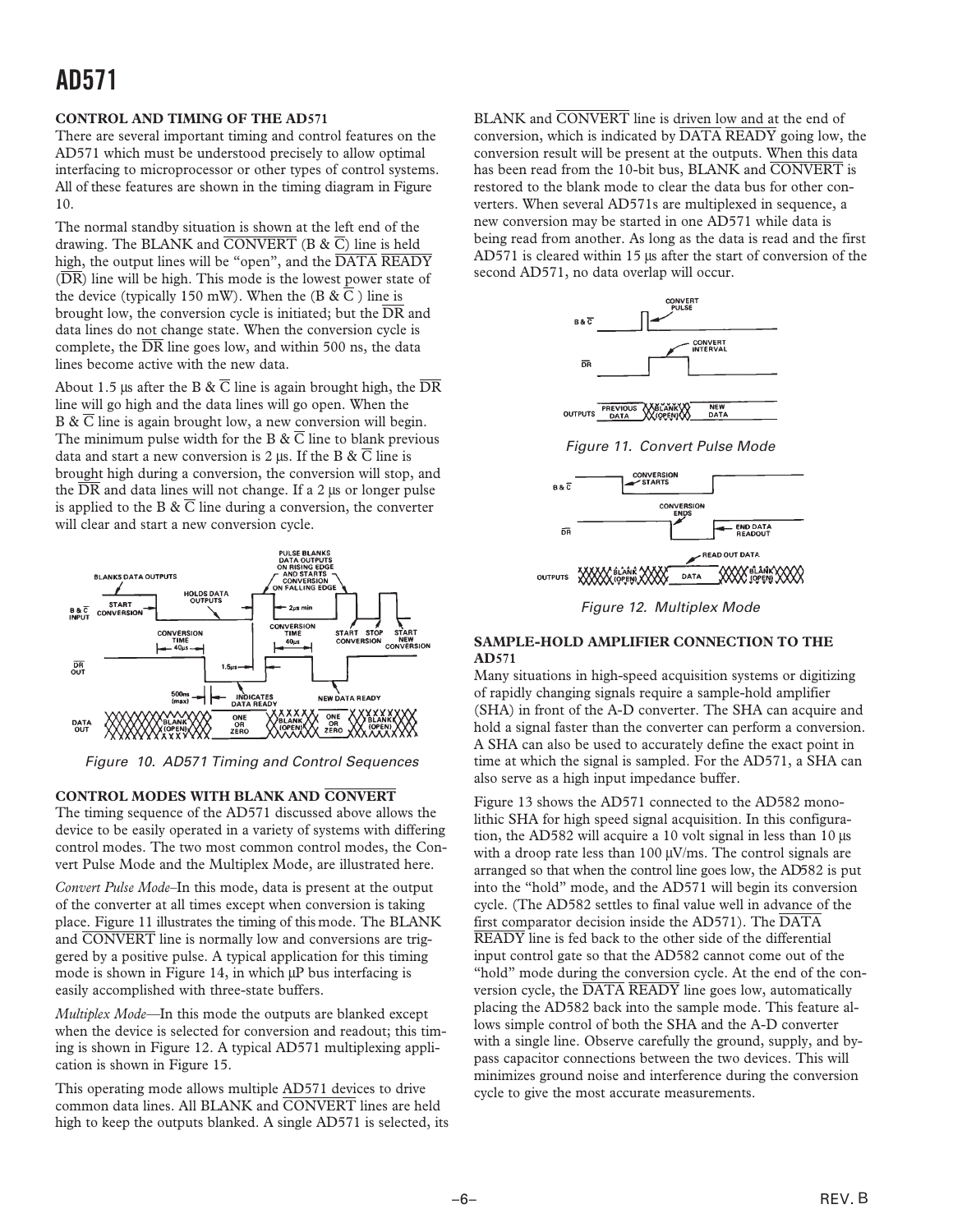# **AD571**

## **CONTROL AND TIMING OF THE AD571**

There are several important timing and control features on the AD571 which must be understood precisely to allow optimal interfacing to microprocessor or other types of control systems. All of these features are shown in the timing diagram in Figure 10.

The normal standby situation is shown at the left end of the drawing. The BLANK and  $\overline{CONVERT}$  (B &  $\overline{C}$ ) line is held high, the output lines will be "open", and the DATA READY  $(\overline{DR})$  line will be high. This mode is the lowest power state of the device (typically 150 mW). When the (B  $\& \overline{C}$ ) line is brought low, the conversion cycle is initiated; but the  $\overline{DR}$  and data lines do not change state. When the conversion cycle is complete, the  $\overline{DR}$  line goes low, and within 500 ns, the data lines become active with the new data.

About 1.5 μs after the B &  $\overline{C}$  line is again brought high, the  $\overline{DR}$ line will go high and the data lines will go open. When the B &  $\overline{C}$  line is again brought low, a new conversion will begin. The minimum pulse width for the B  $\& \overline{C}$  line to blank previous data and start a new conversion is 2 μs. If the B &  $\overline{C}$  line is brought high during a conversion, the conversion will stop, and the  $\overline{DR}$  and data lines will not change. If a 2 μs or longer pulse is applied to the B &  $\overline{C}$  line during a conversion, the converter will clear and start a new conversion cycle.



Figure 10. AD571 Timing and Control Sequences

## **CONTROL MODES WITH BLANK AND CONVERT**

The timing sequence of the AD571 discussed above allows the device to be easily operated in a variety of systems with differing control modes. The two most common control modes, the Convert Pulse Mode and the Multiplex Mode, are illustrated here.

*Convert Pulse Mode–*In this mode, data is present at the output of the converter at all times except when conversion is taking place. Figure 11 illustrates the timing of this mode. The BLANK and CONVERT line is normally low and conversions are triggered by a positive pulse. A typical application for this timing mode is shown in Figure 14, in which μP bus interfacing is easily accomplished with three-state buffers.

*Multiplex Mode—*In this mode the outputs are blanked except when the device is selected for conversion and readout; this timing is shown in Figure 12. A typical AD571 multiplexing application is shown in Figure 15.

This operating mode allows multiple AD571 devices to drive common data lines. All BLANK and CONVERT lines are held high to keep the outputs blanked. A single AD571 is selected, its BLANK and CONVERT line is driven low and at the end of conversion, which is indicated by  $\overline{DATA}$   $\overline{READV}$  going low, the conversion result will be present at the outputs. When this data has been read from the 10-bit bus, BLANK and CONVERT is restored to the blank mode to clear the data bus for other converters. When several AD571s are multiplexed in sequence, a new conversion may be started in one AD571 while data is being read from another. As long as the data is read and the first AD571 is cleared within 15 μs after the start of conversion of the second AD571, no data overlap will occur.



Figure 11. Convert Pulse Mode



Figure 12. Multiplex Mode

## **SAMPLE-HOLD AMPLIFIER CONNECTION TO THE AD571**

Many situations in high-speed acquisition systems or digitizing of rapidly changing signals require a sample-hold amplifier (SHA) in front of the A-D converter. The SHA can acquire and hold a signal faster than the converter can perform a conversion. A SHA can also be used to accurately define the exact point in time at which the signal is sampled. For the AD571, a SHA can also serve as a high input impedance buffer.

Figure 13 shows the AD571 connected to the AD582 monolithic SHA for high speed signal acquisition. In this configuration, the AD582 will acquire a 10 volt signal in less than 10 μs with a droop rate less than 100 μV/ms. The control signals are arranged so that when the control line goes low, the AD582 is put into the "hold" mode, and the AD571 will begin its conversion cycle. (The AD582 settles to final value well in advance of the first comparator decision inside the AD571). The  $\overline{\text{DATA}}$ READY line is fed back to the other side of the differential input control gate so that the AD582 cannot come out of the "hold" mode during the conversion cycle. At the end of the conversion cycle, the DATA READY line goes low, automatically placing the AD582 back into the sample mode. This feature allows simple control of both the SHA and the A-D converter with a single line. Observe carefully the ground, supply, and bypass capacitor connections between the two devices. This will minimizes ground noise and interference during the conversion cycle to give the most accurate measurements.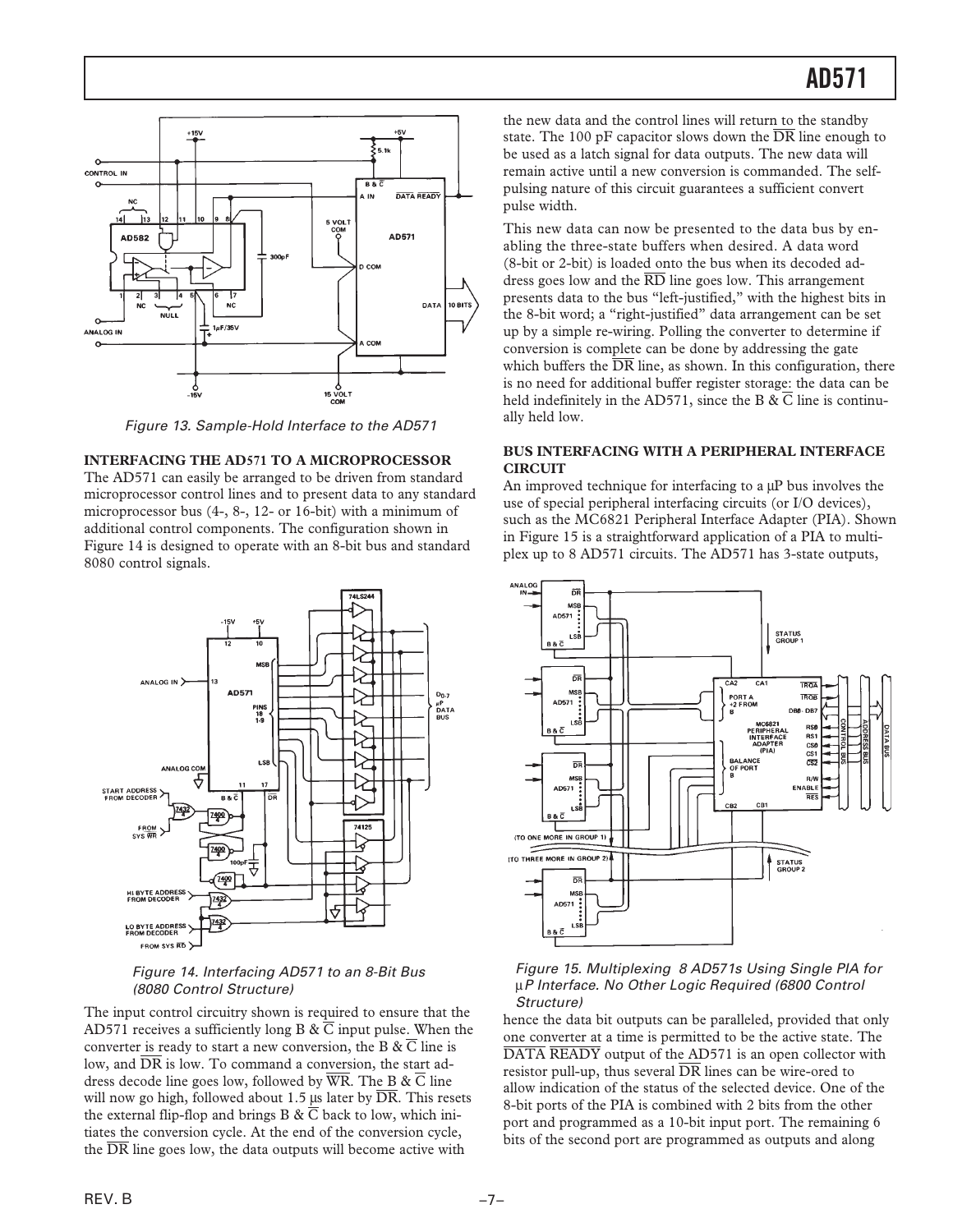

Figure 13. Sample-Hold Interface to the AD571

## **INTERFACING THE AD571 TO A MICROPROCESSOR**

The AD571 can easily be arranged to be driven from standard microprocessor control lines and to present data to any standard microprocessor bus (4-, 8-, 12- or 16-bit) with a minimum of additional control components. The configuration shown in Figure 14 is designed to operate with an 8-bit bus and standard 8080 control signals.



## Figure 14. Interfacing AD571 to an 8-Bit Bus (8080 Control Structure)

The input control circuitry shown is required to ensure that the AD571 receives a sufficiently long B &  $\overline{C}$  input pulse. When the converter is ready to start a new conversion, the B & C line is low, and  $\overline{DR}$  is low. To command a conversion, the start address decode line goes low, followed by  $\overline{WR}$ . The B &  $\overline{C}$  line will now go high, followed about 1.5 μs later by  $\overline{DR}$ . This resets the external flip-flop and brings B &  $\overline{C}$  back to low, which initiates the conversion cycle. At the end of the conversion cycle, the DR line goes low, the data outputs will become active with

the new data and the control lines will return to the standby state. The 100 pF capacitor slows down the  $\overline{DR}$  line enough to be used as a latch signal for data outputs. The new data will remain active until a new conversion is commanded. The selfpulsing nature of this circuit guarantees a sufficient convert pulse width.

This new data can now be presented to the data bus by enabling the three-state buffers when desired. A data word (8-bit or 2-bit) is loaded onto the bus when its decoded address goes low and the  $\overline{RD}$  line goes low. This arrangement presents data to the bus "left-justified," with the highest bits in the 8-bit word; a "right-justified" data arrangement can be set up by a simple re-wiring. Polling the converter to determine if conversion is complete can be done by addressing the gate which buffers the  $\overline{DR}$  line, as shown. In this configuration, there is no need for additional buffer register storage: the data can be held indefinitely in the AD571, since the B &  $\overline{C}$  line is continually held low.

## **BUS INTERFACING WITH A PERIPHERAL INTERFACE CIRCUIT**

An improved technique for interfacing to a μP bus involves the use of special peripheral interfacing circuits (or I/O devices), such as the MC6821 Peripheral Interface Adapter (PIA). Shown in Figure 15 is a straightforward application of a PIA to multiplex up to 8 AD571 circuits. The AD571 has 3-state outputs,



#### Figure 15. Multiplexing 8 AD571s Using Single PIA for μP Interface. No Other Logic Required (6800 Control Structure)

hence the data bit outputs can be paralleled, provided that only one converter at a time is permitted to be the active state. The DATA READY output of the AD571 is an open collector with resistor pull-up, thus several DR lines can be wire-ored to allow indication of the status of the selected device. One of the 8-bit ports of the PIA is combined with 2 bits from the other port and programmed as a 10-bit input port. The remaining 6 bits of the second port are programmed as outputs and along